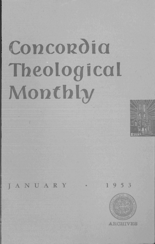## Concordia Theological Monthly



**JANUARY** 

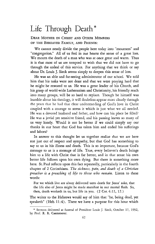## **Life Through Death \***

DEAR MOTHER IN CHRIST AND OTHER MEMBERS OF THE BEREAVED FAMILY, AND FRIENDS:

We cannot neatly divide the people here today into "mourners" and "congregation." All of us feel in our hearts the sense of a great loss. We mourn the death of a man who was at once great and warm. Thus it is that most of us are tempted to wish that we did not have to go through the ordeal of this service. For anything that we think or say about Dr. Louis J. Sieck seems simply to deepen this sense of loss.

He was an able and far-seeing administrator of our school. We told him that his tasks were not done and that we were praying hard that he might be restored to us. He was a great leader of his Church, and his grasp of world-wide Lutheranism and Christianity, his friendly reach into many groups, will be so hard to replace. Though he himself was humble about his theology, it will doubtless appear more clearly through the years that he had that clear understanding of God's love in Christ coupled with a courage to stress it which is just what we all needed. He was a devoted husband and father, and how can his place be filled? He was a jovial yet sensitive friend, and his passing leaves so many of us very lonely. Would it not be better if we could simply say our thanks in our heart that God has taken him and ended his sufferings and labors?

In answer to this thought let us together realize that we are here not just out of respect and sympathy, but that God has something to say to us in his illness and death. This is so important, because God's message to us is a message of life. True, every believer's death brings him to a life with Christ that is far better, and in that sense his own better life follows upon his own dying. But there is something more here. St. Paul reflects upon this fact repeatedly, particularly in the fourth chapter of 2 Corinthians. *The sickness, pain, and death of a Christian preacher is a preaching of life to those who remain.* Listen to these words:

For we which live are alway delivered unto death for Jesus' sake, that the life also of Jesus might be made manifest in our mortal flesh. So, then, death worketh in us, but life in you. (2 Cor. 4: 11, 12.)

The writer to the Hebrews would say of him that "he, being dead, yet speaketh" (Heb.  $11:4$ ). There we have a purpose for this hour which

<sup>\*</sup> Sermon delivered at funeral of President Louis]. Sieck, October 17, 1952, by Prof. R. R. Caemmerer.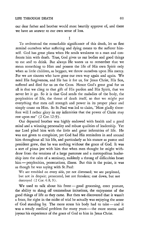## LIFE THROUGH DEATH 63

our dear father and brother would most heartily approve of, and there we have an answer to our own sense of loss.

I

To understand the remarkable significance of this death, let us first remind ourselves what suffering and dying means to the sufferer himself. God has great plans when He sends weakness to a man and confronts him with death. True, God gives us our bodies and good things to eat and to drink. But always He wants us to remember that we mean something to Him and possess the life of His own Spirit only when as little children, as beggars, we throw ourselves upon His mercy. For we are sinners who have gone our own way again and again. We need His forgiveness, and He has it for us, for Jesus Christ, His Son, suffered and died for us on the Cross. Hence God's great goal for us all is that we cling to that gift of His pardon and His Spirit, that we never let it go. So it is that God sends the maladies of the body, the perplexities of life, the threat of death itself, so that we might put everything that men call strength and power in its proper place and simply count on Him. So St. Paul was led to claim, "Most gladly therefore will I rather glory in my infirmities that the power of Christ may rest upon me" (2 Cor. 12:9).

Our departed brother was highly endowed with health and a good mind and a winning personality and robust qualities of leadership. Yet our Lord plied him with the little and great infirmities of life. He was not given to complaint, yet God had His reminders in and around him throughout all his life, and particularly as his stature as pastor and president grew, that he was nothing without the grace of God. It was a sort of pious jest with him that when men thought he might withdraw from the tensions of a large pastorate and a metropolitan leadership into the calm of a seminary, suddenly a throng of difficulties beset him - perplexities, persecutions, illness. But this is the point, it was as though he was saying with St. Paul:

We are troubled on every side, yet not distressed; we are perplexed, but not in despair; persecuted, but not forsaken; cast down, but not destroyed (2 Cor. 4:8,9).

We used to talk about his front - good grooming, erect posture, the ability to shrug off tremendous irritations, the enjoyment of the good things of life as they came. But then we discovered that it wasn't a front, for right in the midst of trial he actually was enjoying the sense of God standing by. The more stress his body had to take - and it was a steady medical problem for many years - the more serene and joyous his experience of the grace of God to him in Jesus Christ.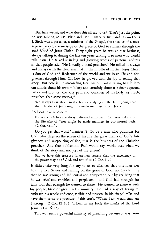But here we sit, and what does this all say to us? That's just the point, he was talking to us! First and last - literally first and last - Louis J. Sieck was a preacher, a minister of the Gospel, the speaker of a message to people, the message of the grace of God to sinners through the shed blood of Jesus Christ. Forty-eight years he was at that business, always talking it, during the last ten years talking it to men who would talk it on. He talked it in big and glowing words of personal address so that people said, "He is really a good preacher." He talked it always and always with the clear essential in the middle of it, that Jesus Christ is Son of God and Redeemer of the world and we have life and forgiveness through Him. Oh, how he glowed with the joy of telling that story! But here is the astounding fact that St. Paul is trying to rub into our minds about his own ministry and certainly about our dear departed father and brother: the very pain and weakness of his body, its death, preached that same message!

We always bear about in the body the dying of the Lord Jesus, that that life also of Jesus might be made manifest in our body.

And our text repeats it:

For we which live are alway delivered unto death for Jesus' sake, that the life also of Jesus might be made manifest in our mortal flesh. (2 Cor. 4:11).

Do you get that word "manifest"? To be a man who publishes for God, who plays on the screen of his life the great drama of God's forgiveness and outpouring of life, that is the business of the Christian preacher. And that publishing, Paul would say, works best when we think of the story and not just of the screen!

But we have this treasure in earthen vessels, that the excellency of the power may be of God, and not of us (2 Cor. 4:7).

It didn't take very long for any of us to discover that this man was holding to a Savior and leaning on the grace of God, not by claiming that he was strong and influential and competent, but by realizing that he was tried and troubled and perplexed - and God had strength for him. But that strength he wanted to share! He wanted to share it with his people, little or great, in his ministry. He had a way of trying to embrace his whole audience, visible and unseen, in his chapel talks and have them sense the pressure of this truth, "When I am weak, then am I strong" (2 Cor. 12: 10), "I bear in my body the marks of the Lord Jesus" (Gal. 6: 17).

This was such a powerful ministry of preaching because it was from